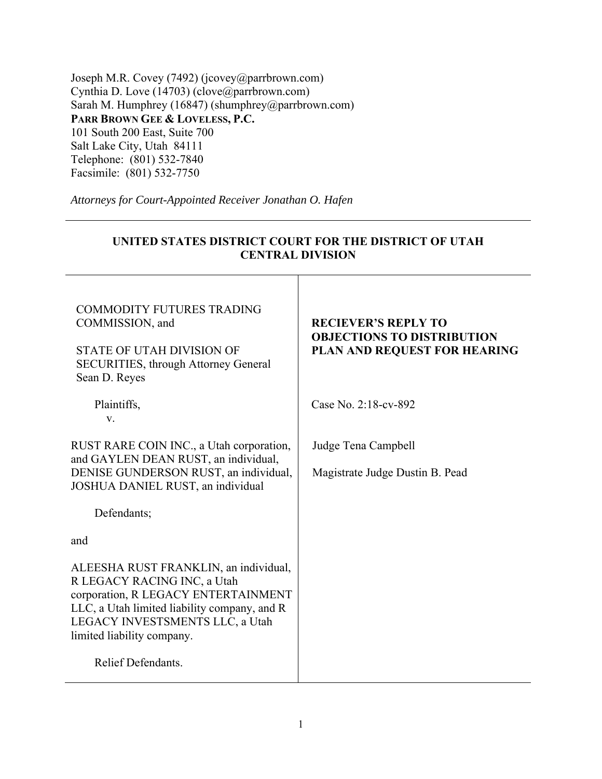Joseph M.R. Covey (7492) (jcovey@parrbrown.com) Cynthia D. Love  $(14703)$  (clove@parrbrown.com) Sarah M. Humphrey (16847) (shumphrey@parrbrown.com) **PARR BROWN GEE & LOVELESS, P.C.**  101 South 200 East, Suite 700 Salt Lake City, Utah 84111 Telephone: (801) 532-7840 Facsimile: (801) 532-7750

*Attorneys for Court-Appointed Receiver Jonathan O. Hafen* 

| UNITED STATES DISTRICT COURT FOR THE DISTRICT OF UTAH<br><b>CENTRAL DIVISION</b>                                                                                                                                             |                                                                                                 |
|------------------------------------------------------------------------------------------------------------------------------------------------------------------------------------------------------------------------------|-------------------------------------------------------------------------------------------------|
| <b>COMMODITY FUTURES TRADING</b><br>COMMISSION, and<br><b>STATE OF UTAH DIVISION OF</b><br>SECURITIES, through Attorney General<br>Sean D. Reyes                                                                             | <b>RECIEVER'S REPLY TO</b><br><b>OBJECTIONS TO DISTRIBUTION</b><br>PLAN AND REQUEST FOR HEARING |
| Plaintiffs,<br>V.                                                                                                                                                                                                            | Case No. 2:18-cv-892                                                                            |
| RUST RARE COIN INC., a Utah corporation,<br>and GAYLEN DEAN RUST, an individual,<br>DENISE GUNDERSON RUST, an individual,<br>JOSHUA DANIEL RUST, an individual                                                               | Judge Tena Campbell<br>Magistrate Judge Dustin B. Pead                                          |
| Defendants;                                                                                                                                                                                                                  |                                                                                                 |
| and                                                                                                                                                                                                                          |                                                                                                 |
| ALEESHA RUST FRANKLIN, an individual,<br>R LEGACY RACING INC, a Utah<br>corporation, R LEGACY ENTERTAINMENT<br>LLC, a Utah limited liability company, and R<br>LEGACY INVESTSMENTS LLC, a Utah<br>limited liability company. |                                                                                                 |
| Relief Defendants.                                                                                                                                                                                                           |                                                                                                 |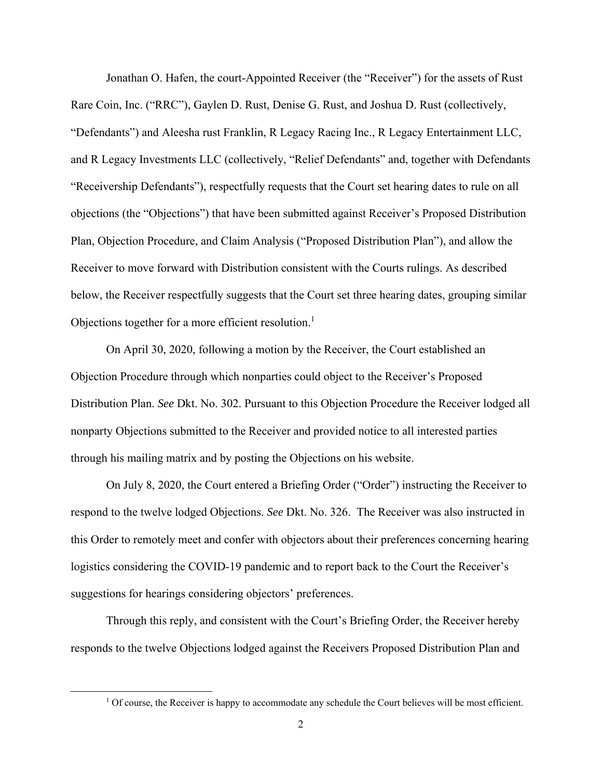Jonathan O. Hafen, the court-Appointed Receiver (the "Receiver") for the assets of Rust Rare Coin, Inc. ("RRC"), Gaylen D. Rust, Denise G. Rust, and Joshua D. Rust (collectively, "Defendants") and Aleesha rust Franklin, R Legacy Racing Inc., R Legacy Entertainment LLC, and R Legacy Investments LLC (collectively, "Relief Defendants" and, together with Defendants "Receivership Defendants"), respectfully requests that the Court set hearing dates to rule on all objections (the "Objections") that have been submitted against Receiver's Proposed Distribution Plan, Objection Procedure, and Claim Analysis ("Proposed Distribution Plan"), and allow the Receiver to move forward with Distribution consistent with the Courts rulings. As described below, the Receiver respectfully suggests that the Court set three hearing dates, grouping similar Objections together for a more efficient resolution.<sup>1</sup>

On April 30, 2020, following a motion by the Receiver, the Court established an Objection Procedure through which nonparties could object to the Receiver's Proposed Distribution Plan. *See* Dkt. No. 302. Pursuant to this Objection Procedure the Receiver lodged all nonparty Objections submitted to the Receiver and provided notice to all interested parties through his mailing matrix and by posting the Objections on his website.

On July 8, 2020, the Court entered a Briefing Order ("Order") instructing the Receiver to respond to the twelve lodged Objections. *See* Dkt. No. 326. The Receiver was also instructed in this Order to remotely meet and confer with objectors about their preferences concerning hearing logistics considering the COVID-19 pandemic and to report back to the Court the Receiver's suggestions for hearings considering objectors' preferences.

Through this reply, and consistent with the Court's Briefing Order, the Receiver hereby responds to the twelve Objections lodged against the Receivers Proposed Distribution Plan and

<sup>&</sup>lt;sup>1</sup> Of course, the Receiver is happy to accommodate any schedule the Court believes will be most efficient.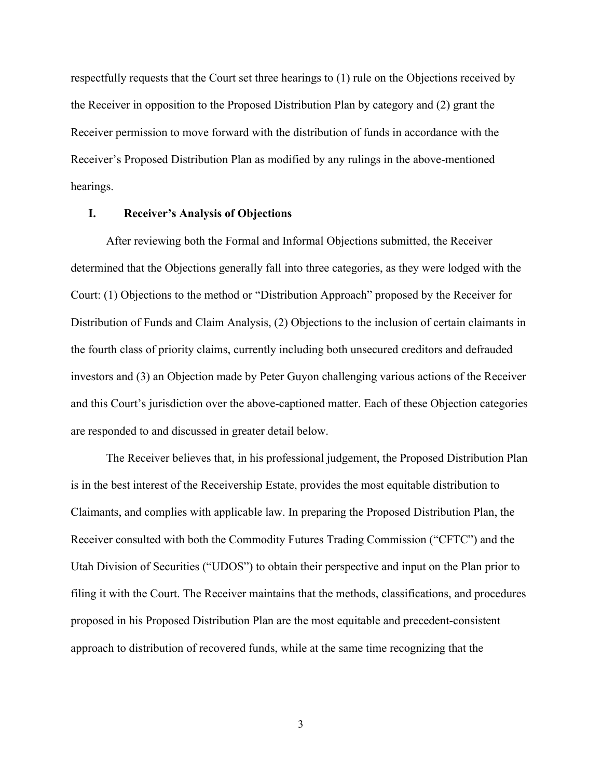respectfully requests that the Court set three hearings to (1) rule on the Objections received by the Receiver in opposition to the Proposed Distribution Plan by category and (2) grant the Receiver permission to move forward with the distribution of funds in accordance with the Receiver's Proposed Distribution Plan as modified by any rulings in the above-mentioned hearings.

## **I. Receiver's Analysis of Objections**

After reviewing both the Formal and Informal Objections submitted, the Receiver determined that the Objections generally fall into three categories, as they were lodged with the Court: (1) Objections to the method or "Distribution Approach" proposed by the Receiver for Distribution of Funds and Claim Analysis, (2) Objections to the inclusion of certain claimants in the fourth class of priority claims, currently including both unsecured creditors and defrauded investors and (3) an Objection made by Peter Guyon challenging various actions of the Receiver and this Court's jurisdiction over the above-captioned matter. Each of these Objection categories are responded to and discussed in greater detail below.

The Receiver believes that, in his professional judgement, the Proposed Distribution Plan is in the best interest of the Receivership Estate, provides the most equitable distribution to Claimants, and complies with applicable law. In preparing the Proposed Distribution Plan, the Receiver consulted with both the Commodity Futures Trading Commission ("CFTC") and the Utah Division of Securities ("UDOS") to obtain their perspective and input on the Plan prior to filing it with the Court. The Receiver maintains that the methods, classifications, and procedures proposed in his Proposed Distribution Plan are the most equitable and precedent-consistent approach to distribution of recovered funds, while at the same time recognizing that the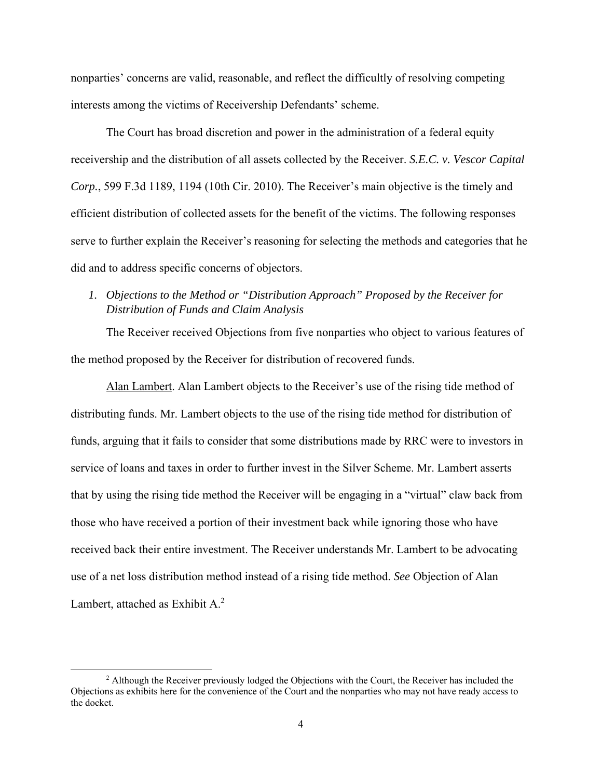nonparties' concerns are valid, reasonable, and reflect the difficultly of resolving competing interests among the victims of Receivership Defendants' scheme.

The Court has broad discretion and power in the administration of a federal equity receivership and the distribution of all assets collected by the Receiver. *S.E.C. v. Vescor Capital Corp.*, 599 F.3d 1189, 1194 (10th Cir. 2010). The Receiver's main objective is the timely and efficient distribution of collected assets for the benefit of the victims. The following responses serve to further explain the Receiver's reasoning for selecting the methods and categories that he did and to address specific concerns of objectors.

# *1. Objections to the Method or "Distribution Approach" Proposed by the Receiver for Distribution of Funds and Claim Analysis*

The Receiver received Objections from five nonparties who object to various features of the method proposed by the Receiver for distribution of recovered funds.

Alan Lambert. Alan Lambert objects to the Receiver's use of the rising tide method of distributing funds. Mr. Lambert objects to the use of the rising tide method for distribution of funds, arguing that it fails to consider that some distributions made by RRC were to investors in service of loans and taxes in order to further invest in the Silver Scheme. Mr. Lambert asserts that by using the rising tide method the Receiver will be engaging in a "virtual" claw back from those who have received a portion of their investment back while ignoring those who have received back their entire investment. The Receiver understands Mr. Lambert to be advocating use of a net loss distribution method instead of a rising tide method. *See* Objection of Alan Lambert, attached as Exhibit A.<sup>2</sup>

<sup>&</sup>lt;sup>2</sup> Although the Receiver previously lodged the Objections with the Court, the Receiver has included the Objections as exhibits here for the convenience of the Court and the nonparties who may not have ready access to the docket.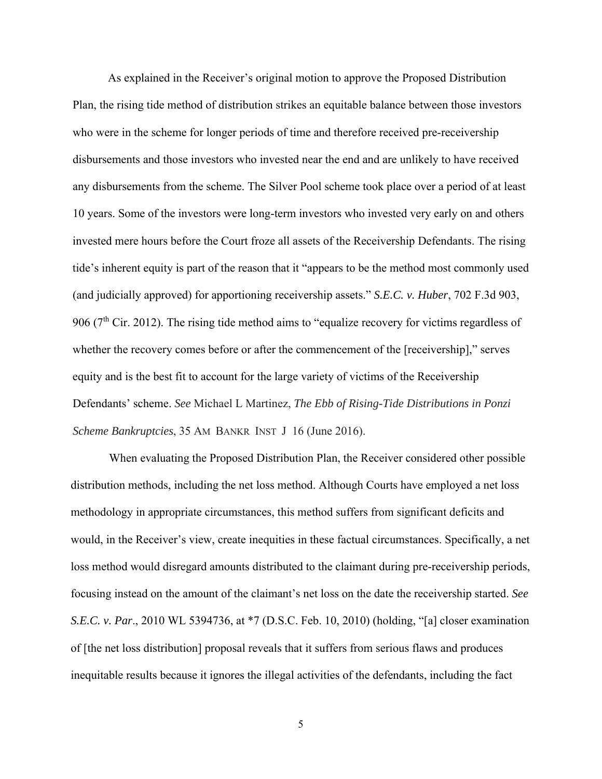As explained in the Receiver's original motion to approve the Proposed Distribution Plan, the rising tide method of distribution strikes an equitable balance between those investors who were in the scheme for longer periods of time and therefore received pre-receivership disbursements and those investors who invested near the end and are unlikely to have received any disbursements from the scheme. The Silver Pool scheme took place over a period of at least 10 years. Some of the investors were long-term investors who invested very early on and others invested mere hours before the Court froze all assets of the Receivership Defendants. The rising tide's inherent equity is part of the reason that it "appears to be the method most commonly used (and judicially approved) for apportioning receivership assets." *S.E.C. v. Huber*, 702 F.3d 903, 906 ( $7<sup>th</sup>$  Cir. 2012). The rising tide method aims to "equalize recovery for victims regardless of whether the recovery comes before or after the commencement of the [receivership]," serves equity and is the best fit to account for the large variety of victims of the Receivership Defendants' scheme. *See* Michael L Martinez, *The Ebb of Rising-Tide Distributions in Ponzi Scheme Bankruptcies*, 35 AM BANKR INST J 16 (June 2016).

 When evaluating the Proposed Distribution Plan, the Receiver considered other possible distribution methods, including the net loss method. Although Courts have employed a net loss methodology in appropriate circumstances, this method suffers from significant deficits and would, in the Receiver's view, create inequities in these factual circumstances. Specifically, a net loss method would disregard amounts distributed to the claimant during pre-receivership periods, focusing instead on the amount of the claimant's net loss on the date the receivership started. *See S.E.C. v. Par*., 2010 WL 5394736, at \*7 (D.S.C. Feb. 10, 2010) (holding, "[a] closer examination of [the net loss distribution] proposal reveals that it suffers from serious flaws and produces inequitable results because it ignores the illegal activities of the defendants, including the fact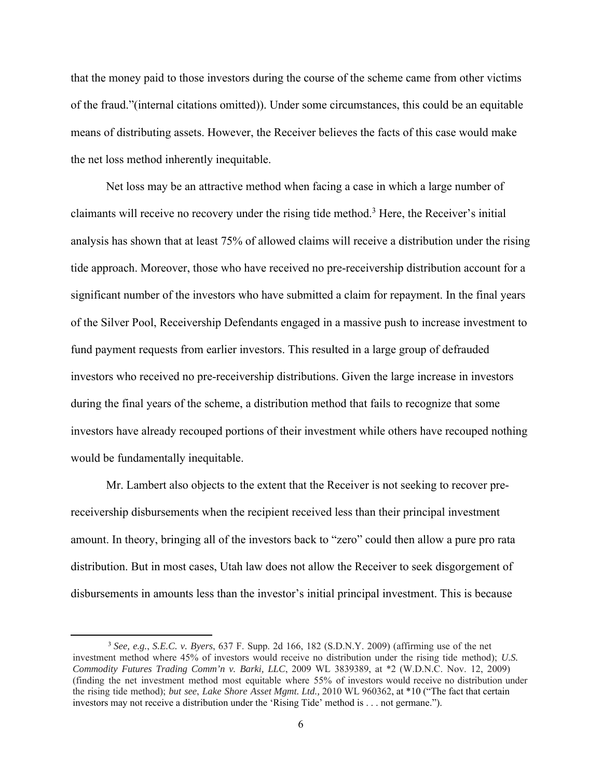that the money paid to those investors during the course of the scheme came from other victims of the fraud."(internal citations omitted)). Under some circumstances, this could be an equitable means of distributing assets. However, the Receiver believes the facts of this case would make the net loss method inherently inequitable.

Net loss may be an attractive method when facing a case in which a large number of claimants will receive no recovery under the rising tide method.<sup>3</sup> Here, the Receiver's initial analysis has shown that at least 75% of allowed claims will receive a distribution under the rising tide approach. Moreover, those who have received no pre-receivership distribution account for a significant number of the investors who have submitted a claim for repayment. In the final years of the Silver Pool, Receivership Defendants engaged in a massive push to increase investment to fund payment requests from earlier investors. This resulted in a large group of defrauded investors who received no pre-receivership distributions. Given the large increase in investors during the final years of the scheme, a distribution method that fails to recognize that some investors have already recouped portions of their investment while others have recouped nothing would be fundamentally inequitable.

Mr. Lambert also objects to the extent that the Receiver is not seeking to recover prereceivership disbursements when the recipient received less than their principal investment amount. In theory, bringing all of the investors back to "zero" could then allow a pure pro rata distribution. But in most cases, Utah law does not allow the Receiver to seek disgorgement of disbursements in amounts less than the investor's initial principal investment. This is because

<sup>3</sup> *See, e.g.*, *S.E.C. v. Byers*, 637 F. Supp. 2d 166, 182 (S.D.N.Y. 2009) (affirming use of the net investment method where 45% of investors would receive no distribution under the rising tide method); *U.S. Commodity Futures Trading Comm'n v. Barki, LLC*, 2009 WL 3839389, at \*2 (W.D.N.C. Nov. 12, 2009) (finding the net investment method most equitable where 55% of investors would receive no distribution under the rising tide method); *but see*, *Lake Shore Asset Mgmt. Ltd.,* 2010 WL 960362, at \*10 ("The fact that certain investors may not receive a distribution under the 'Rising Tide' method is . . . not germane.").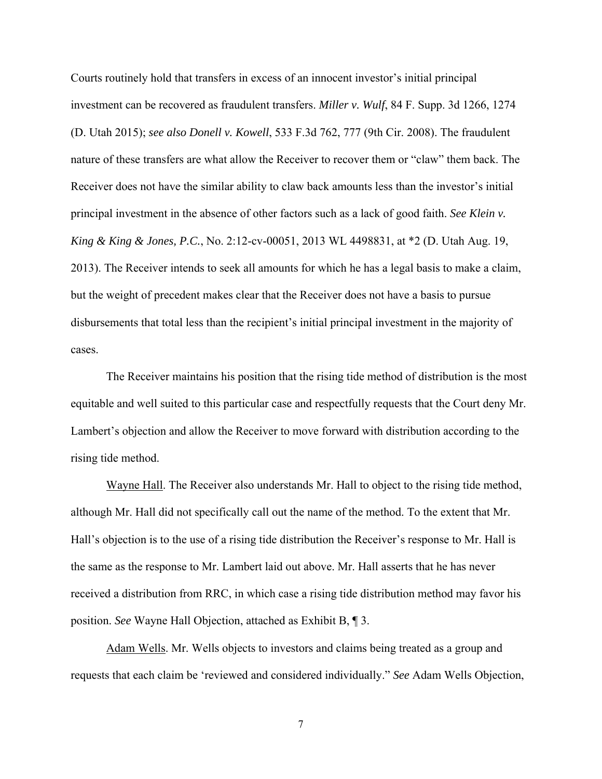Courts routinely hold that transfers in excess of an innocent investor's initial principal investment can be recovered as fraudulent transfers. *Miller v. Wulf*, 84 F. Supp. 3d 1266, 1274 (D. Utah 2015); *see also Donell v. Kowell*, 533 F.3d 762, 777 (9th Cir. 2008). The fraudulent nature of these transfers are what allow the Receiver to recover them or "claw" them back. The Receiver does not have the similar ability to claw back amounts less than the investor's initial principal investment in the absence of other factors such as a lack of good faith. *See Klein v. King & King & Jones, P.C.*, No. 2:12-cv-00051, 2013 WL 4498831, at \*2 (D. Utah Aug. 19, 2013). The Receiver intends to seek all amounts for which he has a legal basis to make a claim, but the weight of precedent makes clear that the Receiver does not have a basis to pursue disbursements that total less than the recipient's initial principal investment in the majority of cases.

The Receiver maintains his position that the rising tide method of distribution is the most equitable and well suited to this particular case and respectfully requests that the Court deny Mr. Lambert's objection and allow the Receiver to move forward with distribution according to the rising tide method.

Wayne Hall. The Receiver also understands Mr. Hall to object to the rising tide method, although Mr. Hall did not specifically call out the name of the method. To the extent that Mr. Hall's objection is to the use of a rising tide distribution the Receiver's response to Mr. Hall is the same as the response to Mr. Lambert laid out above. Mr. Hall asserts that he has never received a distribution from RRC, in which case a rising tide distribution method may favor his position. *See* Wayne Hall Objection, attached as Exhibit B, ¶ 3.

Adam Wells. Mr. Wells objects to investors and claims being treated as a group and requests that each claim be 'reviewed and considered individually." *See* Adam Wells Objection,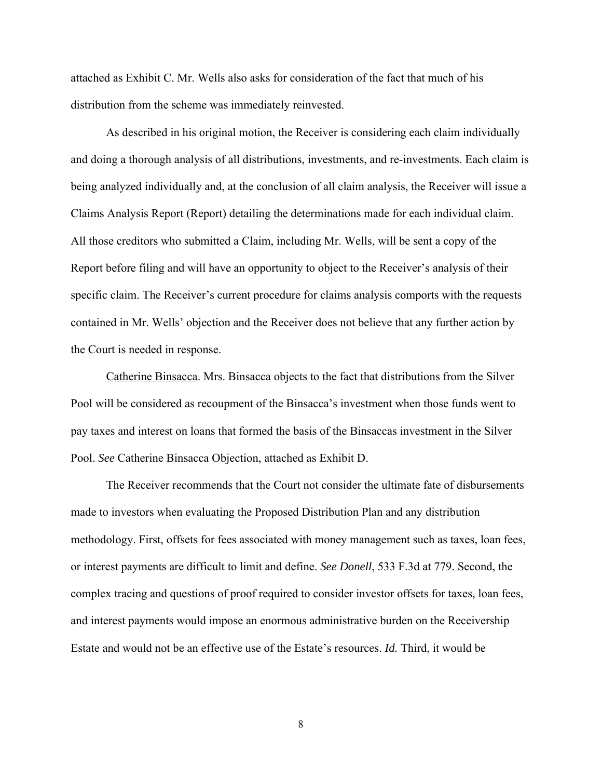attached as Exhibit C. Mr. Wells also asks for consideration of the fact that much of his distribution from the scheme was immediately reinvested.

As described in his original motion, the Receiver is considering each claim individually and doing a thorough analysis of all distributions, investments, and re-investments. Each claim is being analyzed individually and, at the conclusion of all claim analysis, the Receiver will issue a Claims Analysis Report (Report) detailing the determinations made for each individual claim. All those creditors who submitted a Claim, including Mr. Wells, will be sent a copy of the Report before filing and will have an opportunity to object to the Receiver's analysis of their specific claim. The Receiver's current procedure for claims analysis comports with the requests contained in Mr. Wells' objection and the Receiver does not believe that any further action by the Court is needed in response.

Catherine Binsacca. Mrs. Binsacca objects to the fact that distributions from the Silver Pool will be considered as recoupment of the Binsacca's investment when those funds went to pay taxes and interest on loans that formed the basis of the Binsaccas investment in the Silver Pool. *See* Catherine Binsacca Objection, attached as Exhibit D.

The Receiver recommends that the Court not consider the ultimate fate of disbursements made to investors when evaluating the Proposed Distribution Plan and any distribution methodology. First, offsets for fees associated with money management such as taxes, loan fees, or interest payments are difficult to limit and define. *See Donell*, 533 F.3d at 779. Second, the complex tracing and questions of proof required to consider investor offsets for taxes, loan fees, and interest payments would impose an enormous administrative burden on the Receivership Estate and would not be an effective use of the Estate's resources. *Id.* Third, it would be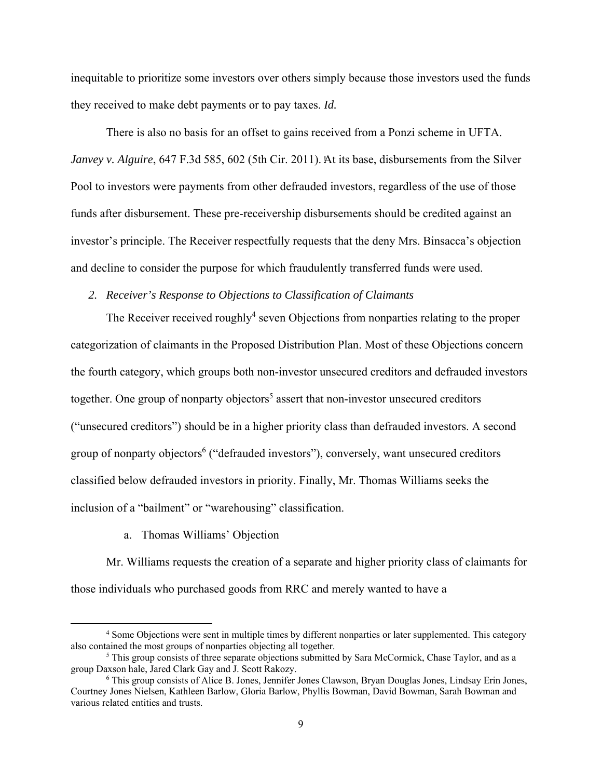inequitable to prioritize some investors over others simply because those investors used the funds they received to make debt payments or to pay taxes. *Id.*

There is also no basis for an offset to gains received from a Ponzi scheme in UFTA. *Janvey v. Alguire*, 647 F.3d 585, 602 (5th Cir. 2011). At its base, disbursements from the Silver Pool to investors were payments from other defrauded investors, regardless of the use of those funds after disbursement. These pre-receivership disbursements should be credited against an investor's principle. The Receiver respectfully requests that the deny Mrs. Binsacca's objection and decline to consider the purpose for which fraudulently transferred funds were used.

## *2. Receiver's Response to Objections to Classification of Claimants*

The Receiver received roughly<sup>4</sup> seven Objections from nonparties relating to the proper categorization of claimants in the Proposed Distribution Plan. Most of these Objections concern the fourth category, which groups both non-investor unsecured creditors and defrauded investors together. One group of nonparty objectors<sup>5</sup> assert that non-investor unsecured creditors ("unsecured creditors") should be in a higher priority class than defrauded investors. A second group of nonparty objectors<sup>6</sup> ("defrauded investors"), conversely, want unsecured creditors classified below defrauded investors in priority. Finally, Mr. Thomas Williams seeks the inclusion of a "bailment" or "warehousing" classification.

a. Thomas Williams' Objection

Mr. Williams requests the creation of a separate and higher priority class of claimants for those individuals who purchased goods from RRC and merely wanted to have a

<sup>4</sup> Some Objections were sent in multiple times by different nonparties or later supplemented. This category also contained the most groups of nonparties objecting all together. 5

 $<sup>5</sup>$  This group consists of three separate objections submitted by Sara McCormick, Chase Taylor, and as a</sup> group Daxson hale, Jared Clark Gay and J. Scott Rakozy.

<sup>&</sup>lt;sup>6</sup> This group consists of Alice B. Jones, Jennifer Jones Clawson, Bryan Douglas Jones, Lindsay Erin Jones, Courtney Jones Nielsen, Kathleen Barlow, Gloria Barlow, Phyllis Bowman, David Bowman, Sarah Bowman and various related entities and trusts.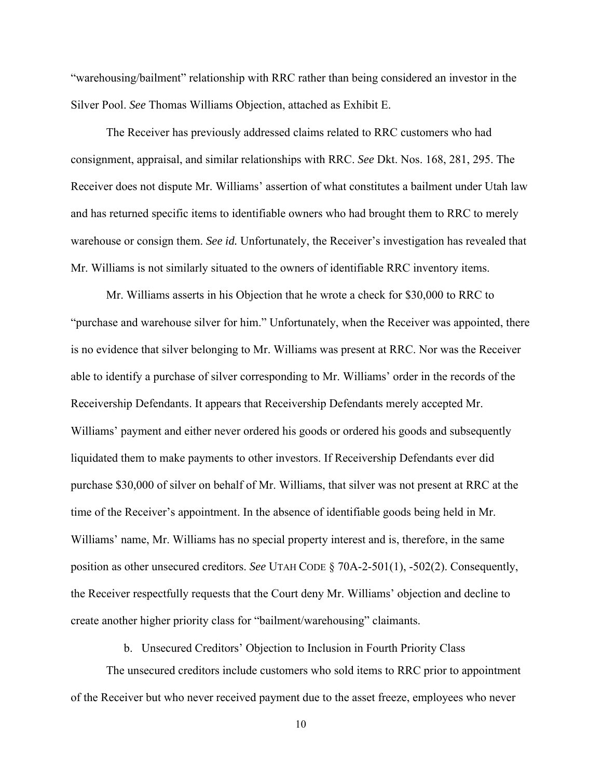"warehousing/bailment" relationship with RRC rather than being considered an investor in the Silver Pool. *See* Thomas Williams Objection, attached as Exhibit E.

The Receiver has previously addressed claims related to RRC customers who had consignment, appraisal, and similar relationships with RRC. *See* Dkt. Nos. 168, 281, 295. The Receiver does not dispute Mr. Williams' assertion of what constitutes a bailment under Utah law and has returned specific items to identifiable owners who had brought them to RRC to merely warehouse or consign them. *See id.* Unfortunately, the Receiver's investigation has revealed that Mr. Williams is not similarly situated to the owners of identifiable RRC inventory items.

Mr. Williams asserts in his Objection that he wrote a check for \$30,000 to RRC to "purchase and warehouse silver for him." Unfortunately, when the Receiver was appointed, there is no evidence that silver belonging to Mr. Williams was present at RRC. Nor was the Receiver able to identify a purchase of silver corresponding to Mr. Williams' order in the records of the Receivership Defendants. It appears that Receivership Defendants merely accepted Mr. Williams' payment and either never ordered his goods or ordered his goods and subsequently liquidated them to make payments to other investors. If Receivership Defendants ever did purchase \$30,000 of silver on behalf of Mr. Williams, that silver was not present at RRC at the time of the Receiver's appointment. In the absence of identifiable goods being held in Mr. Williams' name, Mr. Williams has no special property interest and is, therefore, in the same position as other unsecured creditors. *See* UTAH CODE § 70A-2-501(1), -502(2). Consequently, the Receiver respectfully requests that the Court deny Mr. Williams' objection and decline to create another higher priority class for "bailment/warehousing" claimants.

b. Unsecured Creditors' Objection to Inclusion in Fourth Priority Class

The unsecured creditors include customers who sold items to RRC prior to appointment of the Receiver but who never received payment due to the asset freeze, employees who never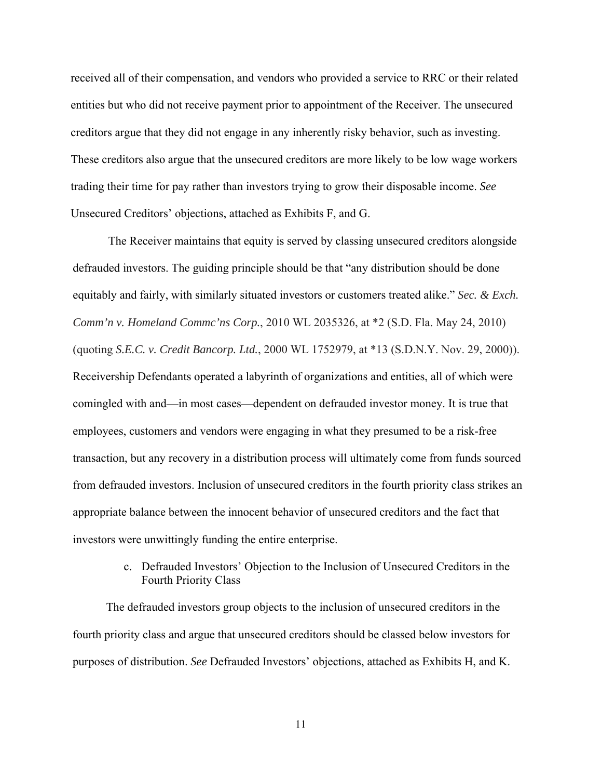received all of their compensation, and vendors who provided a service to RRC or their related entities but who did not receive payment prior to appointment of the Receiver. The unsecured creditors argue that they did not engage in any inherently risky behavior, such as investing. These creditors also argue that the unsecured creditors are more likely to be low wage workers trading their time for pay rather than investors trying to grow their disposable income. *See* Unsecured Creditors' objections, attached as Exhibits F, and G.

The Receiver maintains that equity is served by classing unsecured creditors alongside defrauded investors. The guiding principle should be that "any distribution should be done equitably and fairly, with similarly situated investors or customers treated alike." *Sec. & Exch. Comm'n v. Homeland Commc'ns Corp.*, 2010 WL 2035326, at \*2 (S.D. Fla. May 24, 2010) (quoting *S.E.C. v. Credit Bancorp. Ltd.*, 2000 WL 1752979, at \*13 (S.D.N.Y. Nov. 29, 2000)). Receivership Defendants operated a labyrinth of organizations and entities, all of which were comingled with and—in most cases—dependent on defrauded investor money. It is true that employees, customers and vendors were engaging in what they presumed to be a risk-free transaction, but any recovery in a distribution process will ultimately come from funds sourced from defrauded investors. Inclusion of unsecured creditors in the fourth priority class strikes an appropriate balance between the innocent behavior of unsecured creditors and the fact that investors were unwittingly funding the entire enterprise.

> c. Defrauded Investors' Objection to the Inclusion of Unsecured Creditors in the Fourth Priority Class

The defrauded investors group objects to the inclusion of unsecured creditors in the fourth priority class and argue that unsecured creditors should be classed below investors for purposes of distribution. *See* Defrauded Investors' objections, attached as Exhibits H, and K.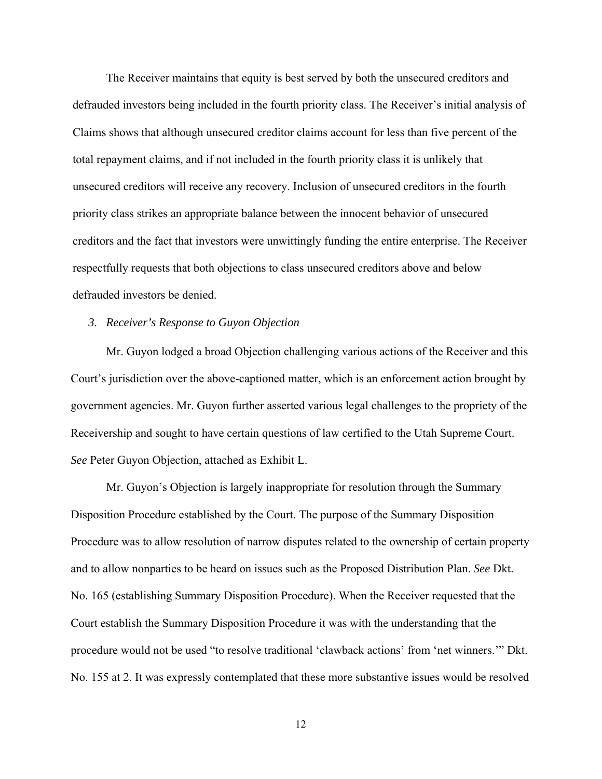The Receiver maintains that equity is best served by both the unsecured creditors and defrauded investors being included in the fourth priority class. The Receiver's initial analysis of Claims shows that although unsecured creditor claims account for less than five percent of the total repayment claims, and if not included in the fourth priority class it is unlikely that unsecured creditors will receive any recovery. Inclusion of unsecured creditors in the fourth priority class strikes an appropriate balance between the innocent behavior of unsecured creditors and the fact that investors were unwittingly funding the entire enterprise. The Receiver respectfully requests that both objections to class unsecured creditors above and below defrauded investors be denied.

### *3. Receiver's Response to Guyon Objection*

Mr. Guyon lodged a broad Objection challenging various actions of the Receiver and this Court's jurisdiction over the above-captioned matter, which is an enforcement action brought by government agencies. Mr. Guyon further asserted various legal challenges to the propriety of the Receivership and sought to have certain questions of law certified to the Utah Supreme Court. *See* Peter Guyon Objection, attached as Exhibit L.

Mr. Guyon's Objection is largely inappropriate for resolution through the Summary Disposition Procedure established by the Court. The purpose of the Summary Disposition Procedure was to allow resolution of narrow disputes related to the ownership of certain property and to allow nonparties to be heard on issues such as the Proposed Distribution Plan. *See* Dkt. No. 165 (establishing Summary Disposition Procedure). When the Receiver requested that the Court establish the Summary Disposition Procedure it was with the understanding that the procedure would not be used "to resolve traditional 'clawback actions' from 'net winners.'" Dkt. No. 155 at 2. It was expressly contemplated that these more substantive issues would be resolved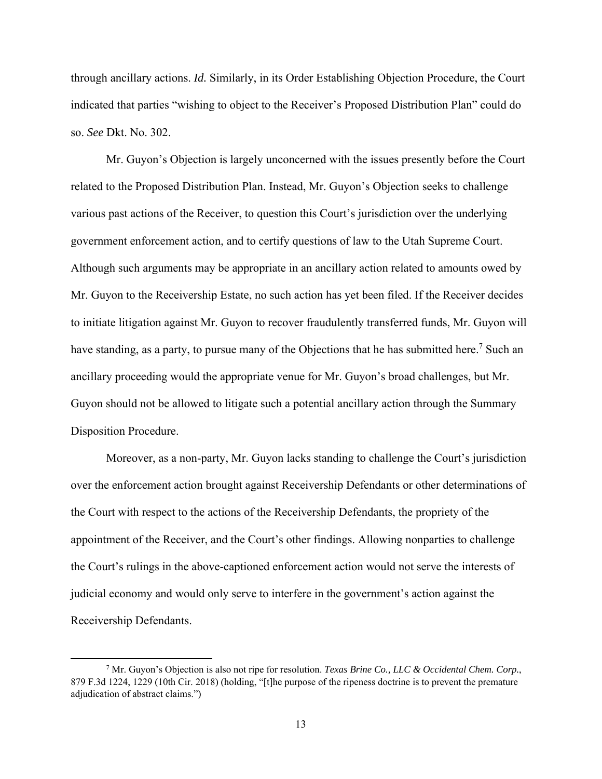through ancillary actions. *Id.* Similarly, in its Order Establishing Objection Procedure, the Court indicated that parties "wishing to object to the Receiver's Proposed Distribution Plan" could do so. *See* Dkt. No. 302.

Mr. Guyon's Objection is largely unconcerned with the issues presently before the Court related to the Proposed Distribution Plan. Instead, Mr. Guyon's Objection seeks to challenge various past actions of the Receiver, to question this Court's jurisdiction over the underlying government enforcement action, and to certify questions of law to the Utah Supreme Court. Although such arguments may be appropriate in an ancillary action related to amounts owed by Mr. Guyon to the Receivership Estate, no such action has yet been filed. If the Receiver decides to initiate litigation against Mr. Guyon to recover fraudulently transferred funds, Mr. Guyon will have standing, as a party, to pursue many of the Objections that he has submitted here.<sup>7</sup> Such an ancillary proceeding would the appropriate venue for Mr. Guyon's broad challenges, but Mr. Guyon should not be allowed to litigate such a potential ancillary action through the Summary Disposition Procedure.

Moreover, as a non-party, Mr. Guyon lacks standing to challenge the Court's jurisdiction over the enforcement action brought against Receivership Defendants or other determinations of the Court with respect to the actions of the Receivership Defendants, the propriety of the appointment of the Receiver, and the Court's other findings. Allowing nonparties to challenge the Court's rulings in the above-captioned enforcement action would not serve the interests of judicial economy and would only serve to interfere in the government's action against the Receivership Defendants.

<sup>7</sup> Mr. Guyon's Objection is also not ripe for resolution. *Texas Brine Co., LLC & Occidental Chem. Corp.*, 879 F.3d 1224, 1229 (10th Cir. 2018) (holding, "[t]he purpose of the ripeness doctrine is to prevent the premature adjudication of abstract claims.")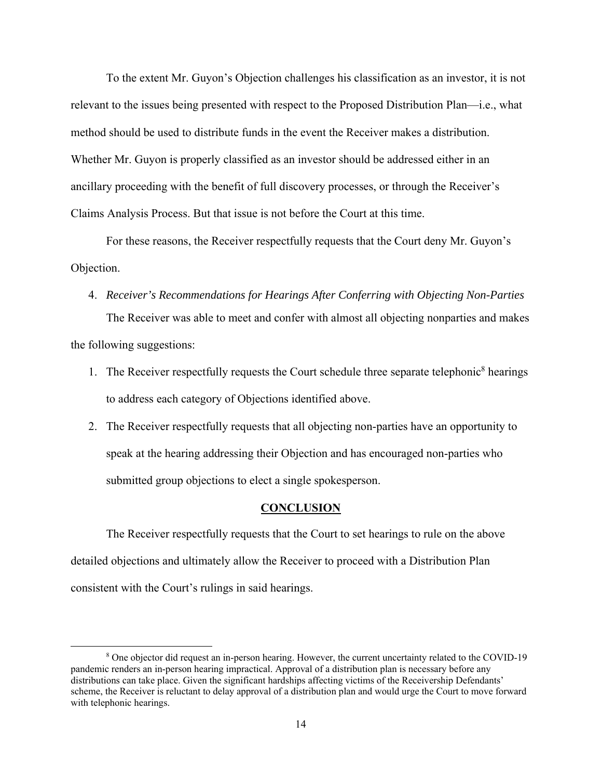To the extent Mr. Guyon's Objection challenges his classification as an investor, it is not relevant to the issues being presented with respect to the Proposed Distribution Plan—i.e., what method should be used to distribute funds in the event the Receiver makes a distribution. Whether Mr. Guyon is properly classified as an investor should be addressed either in an ancillary proceeding with the benefit of full discovery processes, or through the Receiver's Claims Analysis Process. But that issue is not before the Court at this time.

For these reasons, the Receiver respectfully requests that the Court deny Mr. Guyon's Objection.

- 4. *Receiver's Recommendations for Hearings After Conferring with Objecting Non-Parties*  The Receiver was able to meet and confer with almost all objecting nonparties and makes the following suggestions:
	- 1. The Receiver respectfully requests the Court schedule three separate telephonic<sup>8</sup> hearings to address each category of Objections identified above.
	- 2. The Receiver respectfully requests that all objecting non-parties have an opportunity to speak at the hearing addressing their Objection and has encouraged non-parties who submitted group objections to elect a single spokesperson.

## **CONCLUSION**

The Receiver respectfully requests that the Court to set hearings to rule on the above detailed objections and ultimately allow the Receiver to proceed with a Distribution Plan consistent with the Court's rulings in said hearings.

<sup>&</sup>lt;sup>8</sup> One objector did request an in-person hearing. However, the current uncertainty related to the COVID-19 pandemic renders an in-person hearing impractical. Approval of a distribution plan is necessary before any distributions can take place. Given the significant hardships affecting victims of the Receivership Defendants' scheme, the Receiver is reluctant to delay approval of a distribution plan and would urge the Court to move forward with telephonic hearings.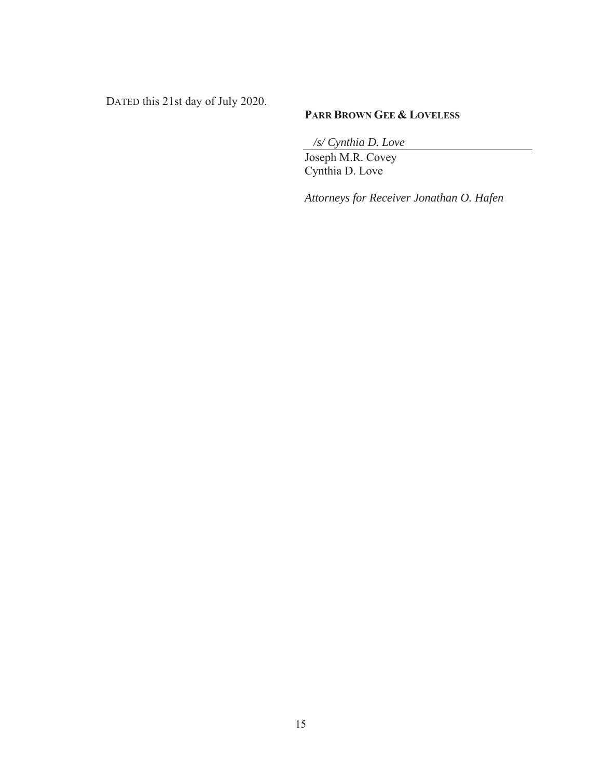DATED this 21st day of July 2020.

# **PARR BROWN GEE & LOVELESS**

 */s/ Cynthia D. Love* 

Joseph M.R. Covey Cynthia D. Love

*Attorneys for Receiver Jonathan O. Hafen*